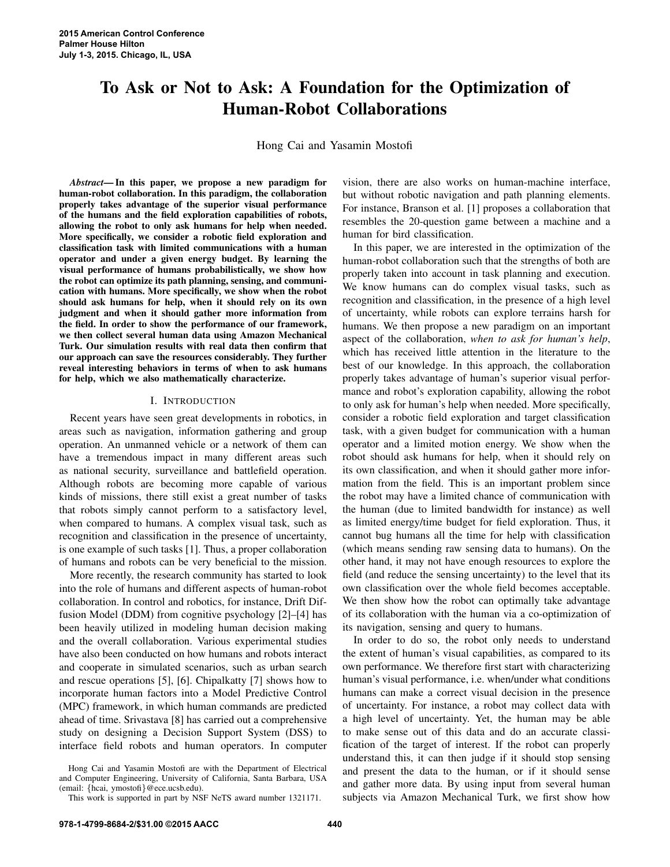# To Ask or Not to Ask: A Foundation for the Optimization of Human-Robot Collaborations

Hong Cai and Yasamin Mostofi

*Abstract*— In this paper, we propose a new paradigm for human-robot collaboration. In this paradigm, the collaboration properly takes advantage of the superior visual performance of the humans and the field exploration capabilities of robots, allowing the robot to only ask humans for help when needed. More specifically, we consider a robotic field exploration and classification task with limited communications with a human operator and under a given energy budget. By learning the visual performance of humans probabilistically, we show how the robot can optimize its path planning, sensing, and communication with humans. More specifically, we show when the robot should ask humans for help, when it should rely on its own judgment and when it should gather more information from the field. In order to show the performance of our framework, we then collect several human data using Amazon Mechanical Turk. Our simulation results with real data then confirm that our approach can save the resources considerably. They further reveal interesting behaviors in terms of when to ask humans for help, which we also mathematically characterize.

#### I. INTRODUCTION

Recent years have seen great developments in robotics, in areas such as navigation, information gathering and group operation. An unmanned vehicle or a network of them can have a tremendous impact in many different areas such as national security, surveillance and battlefield operation. Although robots are becoming more capable of various kinds of missions, there still exist a great number of tasks that robots simply cannot perform to a satisfactory level, when compared to humans. A complex visual task, such as recognition and classification in the presence of uncertainty, is one example of such tasks [1]. Thus, a proper collaboration of humans and robots can be very beneficial to the mission.

More recently, the research community has started to look into the role of humans and different aspects of human-robot collaboration. In control and robotics, for instance, Drift Diffusion Model (DDM) from cognitive psychology [2]–[4] has been heavily utilized in modeling human decision making and the overall collaboration. Various experimental studies have also been conducted on how humans and robots interact and cooperate in simulated scenarios, such as urban search and rescue operations [5], [6]. Chipalkatty [7] shows how to incorporate human factors into a Model Predictive Control (MPC) framework, in which human commands are predicted ahead of time. Srivastava [8] has carried out a comprehensive study on designing a Decision Support System (DSS) to interface field robots and human operators. In computer

vision, there are also works on human-machine interface, but without robotic navigation and path planning elements. For instance, Branson et al. [1] proposes a collaboration that resembles the 20-question game between a machine and a human for bird classification.

In this paper, we are interested in the optimization of the human-robot collaboration such that the strengths of both are properly taken into account in task planning and execution. We know humans can do complex visual tasks, such as recognition and classification, in the presence of a high level of uncertainty, while robots can explore terrains harsh for humans. We then propose a new paradigm on an important aspect of the collaboration, *when to ask for human's help*, which has received little attention in the literature to the best of our knowledge. In this approach, the collaboration properly takes advantage of human's superior visual performance and robot's exploration capability, allowing the robot to only ask for human's help when needed. More specifically, consider a robotic field exploration and target classification task, with a given budget for communication with a human operator and a limited motion energy. We show when the robot should ask humans for help, when it should rely on its own classification, and when it should gather more information from the field. This is an important problem since the robot may have a limited chance of communication with the human (due to limited bandwidth for instance) as well as limited energy/time budget for field exploration. Thus, it cannot bug humans all the time for help with classification (which means sending raw sensing data to humans). On the other hand, it may not have enough resources to explore the field (and reduce the sensing uncertainty) to the level that its own classification over the whole field becomes acceptable. We then show how the robot can optimally take advantage of its collaboration with the human via a co-optimization of its navigation, sensing and query to humans.

In order to do so, the robot only needs to understand the extent of human's visual capabilities, as compared to its own performance. We therefore first start with characterizing human's visual performance, i.e. when/under what conditions humans can make a correct visual decision in the presence of uncertainty. For instance, a robot may collect data with a high level of uncertainty. Yet, the human may be able to make sense out of this data and do an accurate classification of the target of interest. If the robot can properly understand this, it can then judge if it should stop sensing and present the data to the human, or if it should sense and gather more data. By using input from several human subjects via Amazon Mechanical Turk, we first show how

Hong Cai and Yasamin Mostofi are with the Department of Electrical and Computer Engineering, University of California, Santa Barbara, USA (email: {hcai, ymostofi}@ece.ucsb.edu).

This work is supported in part by NSF NeTS award number 1321171.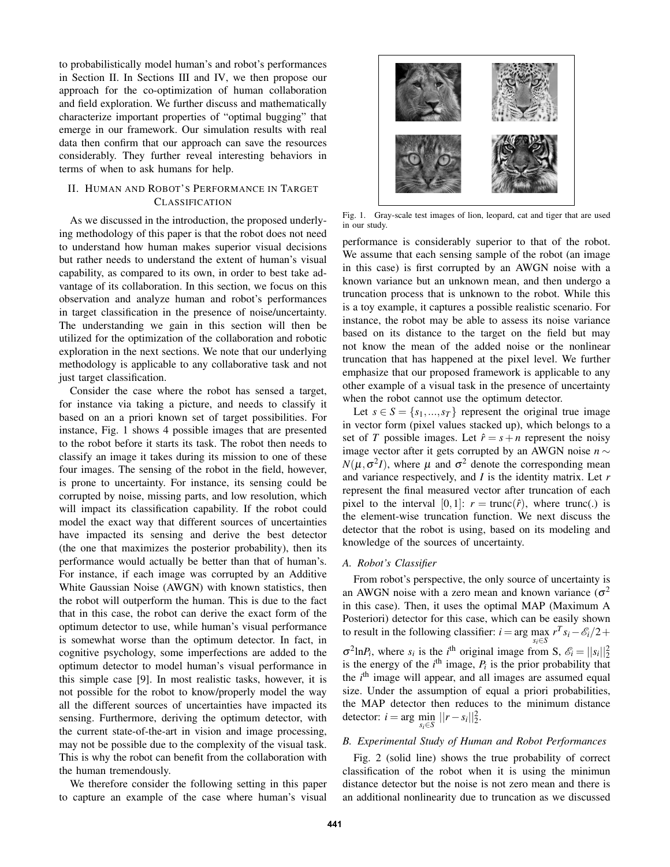to probabilistically model human's and robot's performances in Section II. In Sections III and IV, we then propose our approach for the co-optimization of human collaboration and field exploration. We further discuss and mathematically characterize important properties of "optimal bugging" that emerge in our framework. Our simulation results with real data then confirm that our approach can save the resources considerably. They further reveal interesting behaviors in terms of when to ask humans for help.

# II. HUMAN AND ROBOT'S PERFORMANCE IN TARGET CLASSIFICATION

As we discussed in the introduction, the proposed underlying methodology of this paper is that the robot does not need to understand how human makes superior visual decisions but rather needs to understand the extent of human's visual capability, as compared to its own, in order to best take advantage of its collaboration. In this section, we focus on this observation and analyze human and robot's performances in target classification in the presence of noise/uncertainty. The understanding we gain in this section will then be utilized for the optimization of the collaboration and robotic exploration in the next sections. We note that our underlying methodology is applicable to any collaborative task and not just target classification.

Consider the case where the robot has sensed a target, for instance via taking a picture, and needs to classify it based on an a priori known set of target possibilities. For instance, Fig. 1 shows 4 possible images that are presented to the robot before it starts its task. The robot then needs to classify an image it takes during its mission to one of these four images. The sensing of the robot in the field, however, is prone to uncertainty. For instance, its sensing could be corrupted by noise, missing parts, and low resolution, which will impact its classification capability. If the robot could model the exact way that different sources of uncertainties have impacted its sensing and derive the best detector (the one that maximizes the posterior probability), then its performance would actually be better than that of human's. For instance, if each image was corrupted by an Additive White Gaussian Noise (AWGN) with known statistics, then the robot will outperform the human. This is due to the fact that in this case, the robot can derive the exact form of the optimum detector to use, while human's visual performance is somewhat worse than the optimum detector. In fact, in cognitive psychology, some imperfections are added to the optimum detector to model human's visual performance in this simple case [9]. In most realistic tasks, however, it is not possible for the robot to know/properly model the way all the different sources of uncertainties have impacted its sensing. Furthermore, deriving the optimum detector, with the current state-of-the-art in vision and image processing, may not be possible due to the complexity of the visual task. This is why the robot can benefit from the collaboration with the human tremendously.

We therefore consider the following setting in this paper to capture an example of the case where human's visual



Fig. 1. Gray-scale test images of lion, leopard, cat and tiger that are used in our study.

performance is considerably superior to that of the robot. We assume that each sensing sample of the robot (an image in this case) is first corrupted by an AWGN noise with a known variance but an unknown mean, and then undergo a truncation process that is unknown to the robot. While this is a toy example, it captures a possible realistic scenario. For instance, the robot may be able to assess its noise variance based on its distance to the target on the field but may not know the mean of the added noise or the nonlinear truncation that has happened at the pixel level. We further emphasize that our proposed framework is applicable to any other example of a visual task in the presence of uncertainty when the robot cannot use the optimum detector.

Let  $s \in S = \{s_1, ..., s_T\}$  represent the original true image in vector form (pixel values stacked up), which belongs to a set of *T* possible images. Let  $\hat{r} = s + n$  represent the noisy image vector after it gets corrupted by an AWGN noise *n* ∼  $N(\mu, \sigma^2 I)$ , where  $\mu$  and  $\sigma^2$  denote the corresponding mean and variance respectively, and *I* is the identity matrix. Let *r* represent the final measured vector after truncation of each pixel to the interval  $[0,1]$ :  $r = \text{trunc}(\hat{r})$ , where trunc(.) is the element-wise truncation function. We next discuss the detector that the robot is using, based on its modeling and knowledge of the sources of uncertainty.

## *A. Robot's Classifier*

From robot's perspective, the only source of uncertainty is an AWGN noise with a zero mean and known variance  $(\sigma^2)$ in this case). Then, it uses the optimal MAP (Maximum A Posteriori) detector for this case, which can be easily shown to result in the following classifier:  $i = \arg \max_{i} r^T s_i - \mathcal{E}_i/2 +$ *si*∈*S*  $\sigma^2 \ln P_i$ , where  $s_i$  is the *i*<sup>th</sup> original image from S,  $\mathcal{E}_i = ||s_i||_2^2$ is the energy of the  $i^{\text{th}}$  image,  $P_i$  is the prior probability that the *i*<sup>th</sup> image will appear, and all images are assumed equal size. Under the assumption of equal a priori probabilities, the MAP detector then reduces to the minimum distance detector:  $i = \arg \min_{s_i \in S} ||r - s_i||_2^2$ .

## *B. Experimental Study of Human and Robot Performances*

Fig. 2 (solid line) shows the true probability of correct classification of the robot when it is using the minimun distance detector but the noise is not zero mean and there is an additional nonlinearity due to truncation as we discussed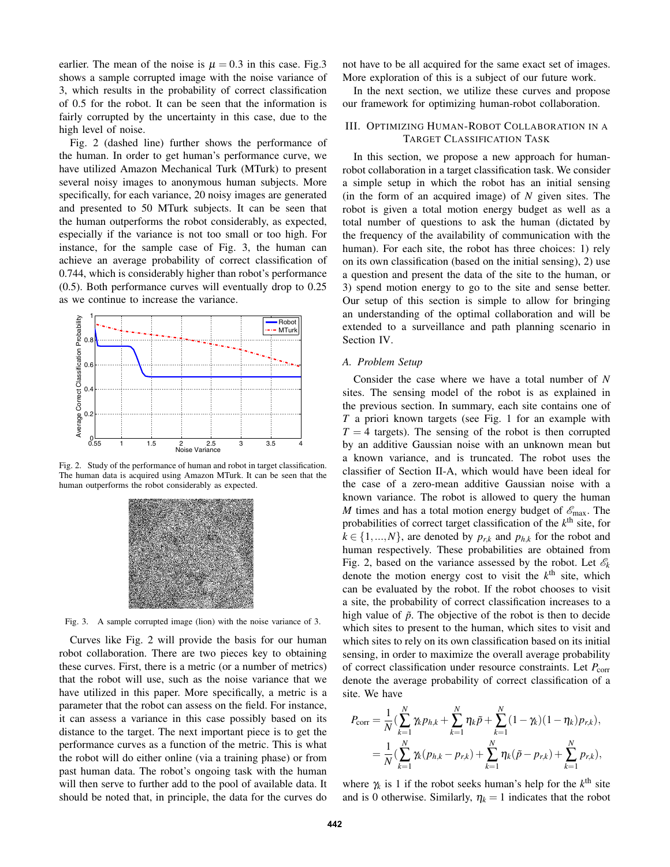earlier. The mean of the noise is  $\mu = 0.3$  in this case. Fig.3 shows a sample corrupted image with the noise variance of 3, which results in the probability of correct classification of 0.5 for the robot. It can be seen that the information is fairly corrupted by the uncertainty in this case, due to the high level of noise.

Fig. 2 (dashed line) further shows the performance of the human. In order to get human's performance curve, we have utilized Amazon Mechanical Turk (MTurk) to present several noisy images to anonymous human subjects. More specifically, for each variance, 20 noisy images are generated and presented to 50 MTurk subjects. It can be seen that the human outperforms the robot considerably, as expected, especially if the variance is not too small or too high. For instance, for the sample case of Fig. 3, the human can achieve an average probability of correct classification of 0.744, which is considerably higher than robot's performance (0.5). Both performance curves will eventually drop to 0.25 as we continue to increase the variance.



Fig. 2. Study of the performance of human and robot in target classification. The human data is acquired using Amazon MTurk. It can be seen that the human outperforms the robot considerably as expected.



Fig. 3. A sample corrupted image (lion) with the noise variance of 3.

Curves like Fig. 2 will provide the basis for our human robot collaboration. There are two pieces key to obtaining these curves. First, there is a metric (or a number of metrics) that the robot will use, such as the noise variance that we have utilized in this paper. More specifically, a metric is a parameter that the robot can assess on the field. For instance, it can assess a variance in this case possibly based on its distance to the target. The next important piece is to get the performance curves as a function of the metric. This is what the robot will do either online (via a training phase) or from past human data. The robot's ongoing task with the human will then serve to further add to the pool of available data. It should be noted that, in principle, the data for the curves do

not have to be all acquired for the same exact set of images. More exploration of this is a subject of our future work.

In the next section, we utilize these curves and propose our framework for optimizing human-robot collaboration.

# III. OPTIMIZING HUMAN-ROBOT COLLABORATION IN A TARGET CLASSIFICATION TASK

In this section, we propose a new approach for humanrobot collaboration in a target classification task. We consider a simple setup in which the robot has an initial sensing (in the form of an acquired image) of *N* given sites. The robot is given a total motion energy budget as well as a total number of questions to ask the human (dictated by the frequency of the availability of communication with the human). For each site, the robot has three choices: 1) rely on its own classification (based on the initial sensing), 2) use a question and present the data of the site to the human, or 3) spend motion energy to go to the site and sense better. Our setup of this section is simple to allow for bringing an understanding of the optimal collaboration and will be extended to a surveillance and path planning scenario in Section IV.

## *A. Problem Setup*

Consider the case where we have a total number of *N* sites. The sensing model of the robot is as explained in the previous section. In summary, each site contains one of *T* a priori known targets (see Fig. 1 for an example with  $T = 4$  targets). The sensing of the robot is then corrupted by an additive Gaussian noise with an unknown mean but a known variance, and is truncated. The robot uses the classifier of Section II-A, which would have been ideal for the case of a zero-mean additive Gaussian noise with a known variance. The robot is allowed to query the human *M* times and has a total motion energy budget of  $\mathscr{E}_{\text{max}}$ . The probabilities of correct target classification of the *k*<sup>th</sup> site, for  $k \in \{1, ..., N\}$ , are denoted by  $p_{rk}$  and  $p_{h,k}$  for the robot and human respectively. These probabilities are obtained from Fig. 2, based on the variance assessed by the robot. Let  $\mathcal{E}_k$ denote the motion energy cost to visit the  $k<sup>th</sup>$  site, which can be evaluated by the robot. If the robot chooses to visit a site, the probability of correct classification increases to a high value of  $\tilde{p}$ . The objective of the robot is then to decide which sites to present to the human, which sites to visit and which sites to rely on its own classification based on its initial sensing, in order to maximize the overall average probability of correct classification under resource constraints. Let  $P_{\text{corr}}$ denote the average probability of correct classification of a site. We have

$$
P_{\text{corr}} = \frac{1}{N} (\sum_{k=1}^{N} \gamma_k p_{h,k} + \sum_{k=1}^{N} \eta_k \tilde{p} + \sum_{k=1}^{N} (1 - \gamma_k)(1 - \eta_k) p_{r,k}),
$$
  
= 
$$
\frac{1}{N} (\sum_{k=1}^{N} \gamma_k (p_{h,k} - p_{r,k}) + \sum_{k=1}^{N} \eta_k (\tilde{p} - p_{r,k}) + \sum_{k=1}^{N} p_{r,k}),
$$

where  $\gamma_k$  is 1 if the robot seeks human's help for the  $k^{\text{th}}$  site and is 0 otherwise. Similarly,  $\eta_k = 1$  indicates that the robot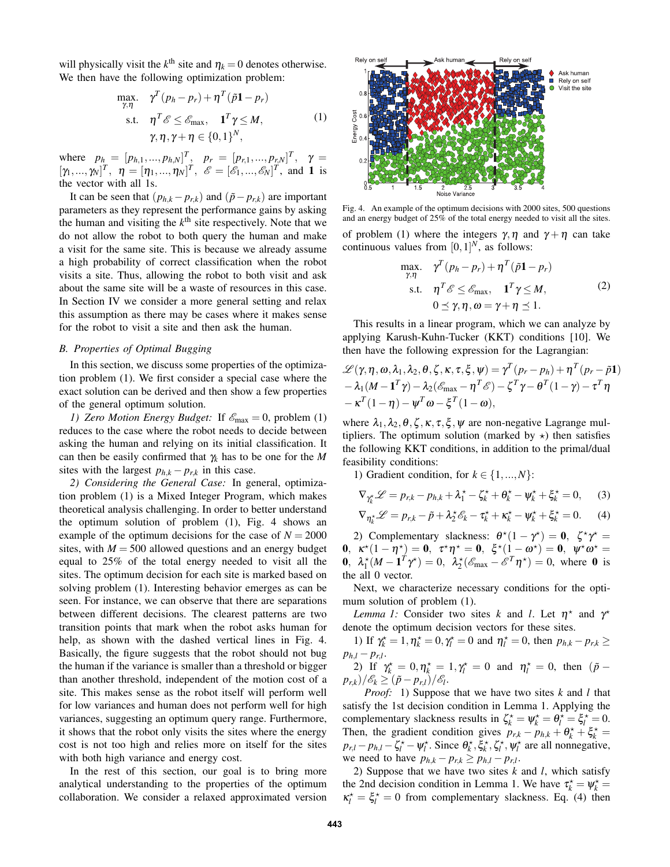will physically visit the  $k^{\text{th}}$  site and  $\eta_k = 0$  denotes otherwise. We then have the following optimization problem:

$$
\max_{\gamma,\eta} \quad \gamma^T (p_h - p_r) + \eta^T (\tilde{p} \mathbf{1} - p_r) \n\text{s.t.} \quad \eta^T \mathscr{E} \leq \mathscr{E}_{\text{max}}, \quad \mathbf{1}^T \gamma \leq M, \n\gamma, \eta, \gamma + \eta \in \{0, 1\}^N,
$$
\n(1)

where  $p_h = [p_{h,1},..., p_{h,N}]^T$ ,  $p_r = [p_{r,1},..., p_{r,N}]^T$ ,  $\gamma =$  $[\gamma_1, ..., \gamma_N]^T$ ,  $\eta = [\eta_1, ..., \eta_N]^T$ ,  $\mathscr{E} = [\mathscr{E}_1, ..., \mathscr{E}_N]^T$ , and 1 is the vector with all 1s.

It can be seen that  $(p_{h,k} - p_{r,k})$  and  $(\tilde{p} - p_{r,k})$  are important parameters as they represent the performance gains by asking the human and visiting the  $k<sup>th</sup>$  site respectively. Note that we do not allow the robot to both query the human and make a visit for the same site. This is because we already assume a high probability of correct classification when the robot visits a site. Thus, allowing the robot to both visit and ask about the same site will be a waste of resources in this case. In Section IV we consider a more general setting and relax this assumption as there may be cases where it makes sense for the robot to visit a site and then ask the human.

#### *B. Properties of Optimal Bugging*

In this section, we discuss some properties of the optimization problem (1). We first consider a special case where the exact solution can be derived and then show a few properties of the general optimum solution.

*1) Zero Motion Energy Budget:* If  $\mathscr{E}_{\text{max}} = 0$ , problem (1) reduces to the case where the robot needs to decide between asking the human and relying on its initial classification. It can then be easily confirmed that γ*<sup>k</sup>* has to be one for the *M* sites with the largest  $p_{h,k} - p_{r,k}$  in this case.

*2) Considering the General Case:* In general, optimization problem (1) is a Mixed Integer Program, which makes theoretical analysis challenging. In order to better understand the optimum solution of problem (1), Fig. 4 shows an example of the optimum decisions for the case of  $N = 2000$ sites, with  $M = 500$  allowed questions and an energy budget equal to 25% of the total energy needed to visit all the sites. The optimum decision for each site is marked based on solving problem (1). Interesting behavior emerges as can be seen. For instance, we can observe that there are separations between different decisions. The clearest patterns are two transition points that mark when the robot asks human for help, as shown with the dashed vertical lines in Fig. 4. Basically, the figure suggests that the robot should not bug the human if the variance is smaller than a threshold or bigger than another threshold, independent of the motion cost of a site. This makes sense as the robot itself will perform well for low variances and human does not perform well for high variances, suggesting an optimum query range. Furthermore, it shows that the robot only visits the sites where the energy cost is not too high and relies more on itself for the sites with both high variance and energy cost.

In the rest of this section, our goal is to bring more analytical understanding to the properties of the optimum collaboration. We consider a relaxed approximated version



Fig. 4. An example of the optimum decisions with 2000 sites, 500 questions and an energy budget of 25% of the total energy needed to visit all the sites. of problem (1) where the integers  $\gamma$ ,  $\eta$  and  $\gamma + \eta$  can take continuous values from  $[0,1]^N$ , as follows:

$$
\max_{\gamma,\eta} \quad \gamma^T (p_h - p_r) + \eta^T (\tilde{p} \mathbf{1} - p_r) \n\text{s.t.} \quad \eta^T \mathscr{E} \leq \mathscr{E}_{\text{max}}, \quad \mathbf{1}^T \gamma \leq M, \n0 \leq \gamma, \eta, \omega = \gamma + \eta \leq 1.
$$
\n(2)

This results in a linear program, which we can analyze by applying Karush-Kuhn-Tucker (KKT) conditions [10]. We then have the following expression for the Lagrangian:

$$
\mathcal{L}(\gamma,\eta,\omega,\lambda_1,\lambda_2,\theta,\zeta,\kappa,\tau,\xi,\psi) = \gamma^T(p_r - p_h) + \eta^T(p_r - \tilde{p}\mathbf{1}) - \lambda_1(M - \mathbf{1}^T\gamma) - \lambda_2(\mathscr{E}_{\text{max}} - \eta^T\mathscr{E}) - \zeta^T\gamma - \theta^T(1 - \gamma) - \tau^T\eta - \kappa^T(1 - \eta) - \psi^T\omega - \xi^T(1 - \omega),
$$

where  $\lambda_1, \lambda_2, \theta, \zeta, \kappa, \tau, \xi, \psi$  are non-negative Lagrange multipliers. The optimum solution (marked by  $\star$ ) then satisfies the following KKT conditions, in addition to the primal/dual feasibility conditions:

1) Gradient condition, for  $k \in \{1, ..., N\}$ :

$$
\nabla_{\gamma_k^*} \mathcal{L} = p_{r,k} - p_{h,k} + \lambda_1^* - \zeta_k^* + \theta_k^* - \psi_k^* + \xi_k^* = 0, \quad (3)
$$

$$
\nabla_{\eta_k^*} \mathcal{L} = p_{r,k} - \tilde{p} + \lambda_2^* \mathcal{E}_k - \tau_k^* + \kappa_k^* - \psi_k^* + \xi_k^* = 0. \tag{4}
$$

2) Complementary slackness:  $\theta^*(1 - \gamma^*) = 0$ ,  $\zeta^* \gamma^* =$ 0,  $\kappa^*(1 - \eta^*) = 0$ ,  $\tau^*\eta^* = 0$ ,  $\xi^*(1 - \omega^*) = 0$ ,  $\psi^*\omega^* = 0$ **0**,  $\lambda_1^{\star}(M - \mathbf{1}^T \gamma^{\star}) = 0$ ,  $\lambda_2^{\star}(\mathscr{E}_{\text{max}} - \mathscr{E}^T \eta^{\star}) = 0$ , where **0** is the all 0 vector.

Next, we characterize necessary conditions for the optimum solution of problem (1).

*Lemma 1:* Consider two sites *k* and *l*. Let  $\eta^*$  and  $\gamma^*$ denote the optimum decision vectors for these sites.

1) If  $\gamma_k^* = 1, \eta_k^* = 0, \gamma_l^* = 0$  and  $\eta_l^* = 0$ , then  $p_{h,k} - p_{r,k} \geq 0$  $p_{h,l} - p_{r,l}$ .

2) If  $\gamma_k^* = 0, \eta_k^* = 1, \gamma_l^* = 0$  and  $\eta_l^* = 0$ , then  $(\tilde{p} - \tilde{\theta})$  $p_{r,k})/\mathscr{E}_k \geq (\tilde{p}-p_{r,l})/\mathscr{E}_l.$ 

*Proof:* 1) Suppose that we have two sites *k* and *l* that satisfy the 1st decision condition in Lemma 1. Applying the complementary slackness results in  $\zeta_k^* = \psi_k^* = \theta_l^* = \xi_l^* = 0$ . Then, the gradient condition gives  $p_{r,k} - p_{h,k} + \theta_k^* + \xi_k^* =$  $p_{r,l} - p_{h,l} - \zeta_l^* - \psi_l^*$ . Since  $\theta_k^*, \xi_k^*, \zeta_l^*, \psi_l^*$  are all nonnegative, we need to have  $p_{h,k} - p_{r,k} \geq p_{h,l} - p_{r,l}$ .

2) Suppose that we have two sites *k* and *l*, which satisfy the 2nd decision condition in Lemma 1. We have  $\tau_k^* = \psi_k^* =$  $\kappa_l^* = \xi_l^* = 0$  from complementary slackness. Eq. (4) then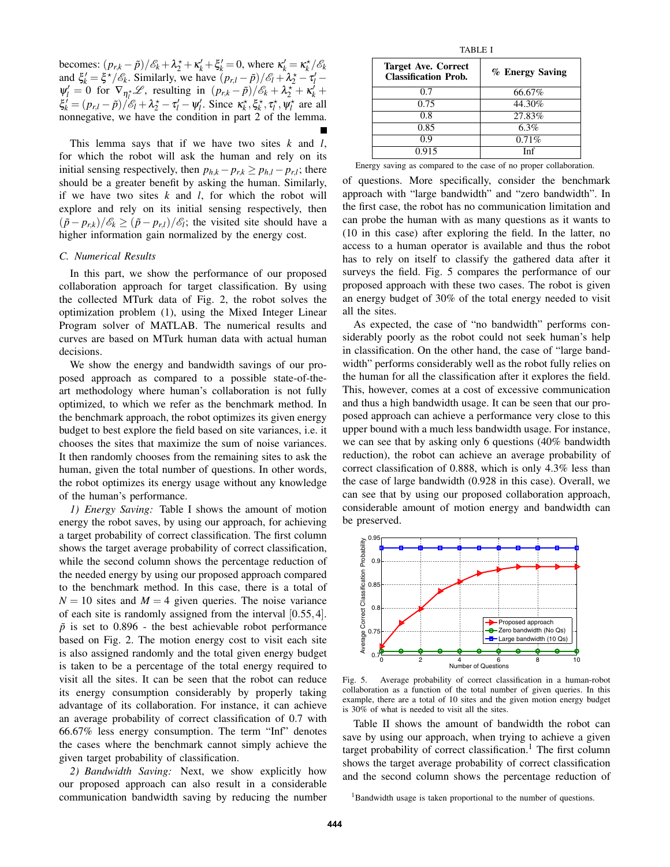becomes:  $(p_{r,k} - \tilde{p})/\mathcal{E}_k + \lambda_2^* + \kappa_k' + \xi_k' = 0$ , where  $\kappa_k' = \kappa_k^*/\mathcal{E}_k$ and  $\xi'_k = \xi^*/\mathscr{E}_k$ . Similarly, we have  $(p_{r,l} - \tilde{p})/\mathscr{E}_l + \lambda_2^* - \tau'_l \Psi'_{l} = 0$  for  $\nabla_{\eta_{l}^{*}} \mathscr{L}$ , resulting in  $(p_{r,k} - \tilde{p})/\mathscr{E}_{k} + \lambda_{2}^{*} + \kappa_{k}^{j} + \lambda_{3}^{j}$  $\xi_k^j = (p_{r,l} - \tilde{p})/ \xi_l^2 + \lambda_2^* - \tau_l' - \psi_l'$ . Since  $\kappa_k^*, \xi_k^*, \tau_l^*, \psi_l^*$  are all nonnegative, we have the condition in part 2 of the lemma.

This lemma says that if we have two sites *k* and *l*, for which the robot will ask the human and rely on its initial sensing respectively, then  $p_{h,k} - p_{r,k} \geq p_{h,l} - p_{r,l}$ ; there should be a greater benefit by asking the human. Similarly, if we have two sites *k* and *l*, for which the robot will explore and rely on its initial sensing respectively, then  $(\tilde{p} - p_{r,k})/\mathscr{E}_k \geq (\tilde{p} - p_{r,l})/\mathscr{E}_l$ ; the visited site should have a higher information gain normalized by the energy cost.

#### *C. Numerical Results*

In this part, we show the performance of our proposed collaboration approach for target classification. By using the collected MTurk data of Fig. 2, the robot solves the optimization problem (1), using the Mixed Integer Linear Program solver of MATLAB. The numerical results and curves are based on MTurk human data with actual human decisions.

We show the energy and bandwidth savings of our proposed approach as compared to a possible state-of-theart methodology where human's collaboration is not fully optimized, to which we refer as the benchmark method. In the benchmark approach, the robot optimizes its given energy budget to best explore the field based on site variances, i.e. it chooses the sites that maximize the sum of noise variances. It then randomly chooses from the remaining sites to ask the human, given the total number of questions. In other words, the robot optimizes its energy usage without any knowledge of the human's performance.

*1) Energy Saving:* Table I shows the amount of motion energy the robot saves, by using our approach, for achieving a target probability of correct classification. The first column shows the target average probability of correct classification, while the second column shows the percentage reduction of the needed energy by using our proposed approach compared to the benchmark method. In this case, there is a total of  $N = 10$  sites and  $M = 4$  given queries. The noise variance of each site is randomly assigned from the interval [0.55,4].  $\tilde{p}$  is set to 0.896 - the best achievable robot performance based on Fig. 2. The motion energy cost to visit each site is also assigned randomly and the total given energy budget is taken to be a percentage of the total energy required to visit all the sites. It can be seen that the robot can reduce its energy consumption considerably by properly taking advantage of its collaboration. For instance, it can achieve an average probability of correct classification of 0.7 with 66.67% less energy consumption. The term "Inf" denotes the cases where the benchmark cannot simply achieve the given target probability of classification.

*2) Bandwidth Saving:* Next, we show explicitly how our proposed approach can also result in a considerable communication bandwidth saving by reducing the number

TABLE I

| <b>Target Ave. Correct</b><br><b>Classification Prob.</b> | % Energy Saving |
|-----------------------------------------------------------|-----------------|
| 0.7                                                       | 66.67%          |
| 0.75                                                      | 44.30%          |
| 0.8                                                       | 27.83%          |
| 0.85                                                      | 6.3%            |
| 09                                                        | 0.71%           |
| 0.915                                                     | Inf             |

Energy saving as compared to the case of no proper collaboration.

of questions. More specifically, consider the benchmark approach with "large bandwidth" and "zero bandwidth". In the first case, the robot has no communication limitation and can probe the human with as many questions as it wants to (10 in this case) after exploring the field. In the latter, no access to a human operator is available and thus the robot has to rely on itself to classify the gathered data after it surveys the field. Fig. 5 compares the performance of our proposed approach with these two cases. The robot is given an energy budget of 30% of the total energy needed to visit all the sites.

As expected, the case of "no bandwidth" performs considerably poorly as the robot could not seek human's help in classification. On the other hand, the case of "large bandwidth" performs considerably well as the robot fully relies on the human for all the classification after it explores the field. This, however, comes at a cost of excessive communication and thus a high bandwidth usage. It can be seen that our proposed approach can achieve a performance very close to this upper bound with a much less bandwidth usage. For instance, we can see that by asking only 6 questions (40% bandwidth reduction), the robot can achieve an average probability of correct classification of 0.888, which is only 4.3% less than the case of large bandwidth (0.928 in this case). Overall, we can see that by using our proposed collaboration approach, considerable amount of motion energy and bandwidth can be preserved.



Fig. 5. Average probability of correct classification in a human-robot collaboration as a function of the total number of given queries. In this example, there are a total of 10 sites and the given motion energy budget is 30% of what is needed to visit all the sites.

Table II shows the amount of bandwidth the robot can save by using our approach, when trying to achieve a given target probability of correct classification.<sup>1</sup> The first column shows the target average probability of correct classification and the second column shows the percentage reduction of

<sup>1</sup>Bandwidth usage is taken proportional to the number of questions.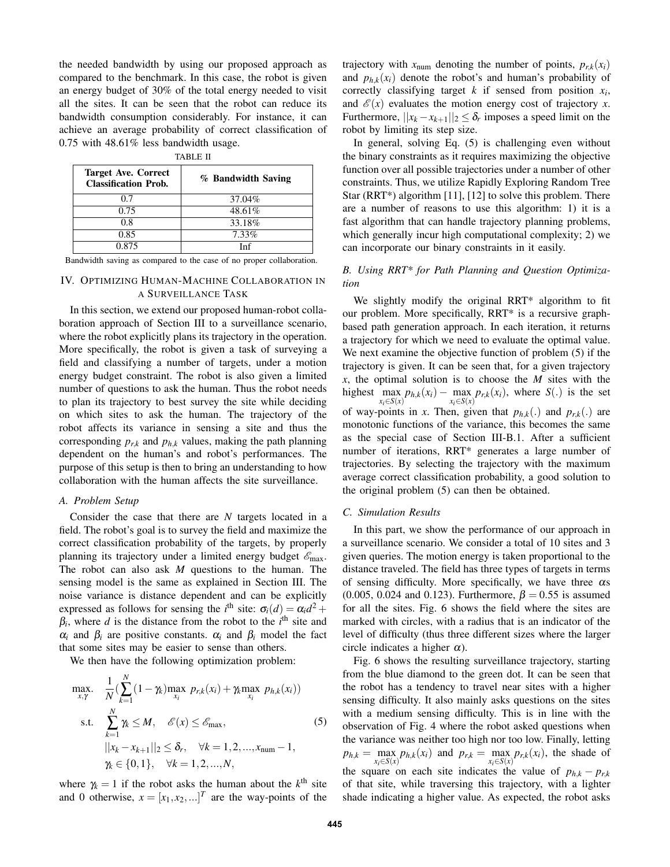the needed bandwidth by using our proposed approach as compared to the benchmark. In this case, the robot is given an energy budget of 30% of the total energy needed to visit all the sites. It can be seen that the robot can reduce its bandwidth consumption considerably. For instance, it can achieve an average probability of correct classification of 0.75 with 48.61% less bandwidth usage.

|--|

| <b>Target Ave. Correct</b><br><b>Classification Prob.</b> | % Bandwidth Saving |
|-----------------------------------------------------------|--------------------|
| 0.7                                                       | 37.04%             |
| 0.75                                                      | 48.61%             |
| 0.8                                                       | 33.18%             |
| 0.85                                                      | 7.33%              |
| 0.875                                                     | Inf                |

Bandwidth saving as compared to the case of no proper collaboration.

## IV. OPTIMIZING HUMAN-MACHINE COLLABORATION IN A SURVEILLANCE TASK

In this section, we extend our proposed human-robot collaboration approach of Section III to a surveillance scenario, where the robot explicitly plans its trajectory in the operation. More specifically, the robot is given a task of surveying a field and classifying a number of targets, under a motion energy budget constraint. The robot is also given a limited number of questions to ask the human. Thus the robot needs to plan its trajectory to best survey the site while deciding on which sites to ask the human. The trajectory of the robot affects its variance in sensing a site and thus the corresponding  $p_{r,k}$  and  $p_{h,k}$  values, making the path planning dependent on the human's and robot's performances. The purpose of this setup is then to bring an understanding to how collaboration with the human affects the site surveillance.

## *A. Problem Setup*

Consider the case that there are *N* targets located in a field. The robot's goal is to survey the field and maximize the correct classification probability of the targets, by properly planning its trajectory under a limited energy budget  $\mathscr{E}_{\text{max}}$ . The robot can also ask *M* questions to the human. The sensing model is the same as explained in Section III. The noise variance is distance dependent and can be explicitly expressed as follows for sensing the *i*<sup>th</sup> site:  $\sigma_i(d) = \alpha_i d^2 +$  $\beta_i$ , where *d* is the distance from the robot to the *i*<sup>th</sup> site and  $\alpha_i$  and  $\beta_i$  are positive constants.  $\alpha_i$  and  $\beta_i$  model the fact that some sites may be easier to sense than others.

We then have the following optimization problem:

$$
\max_{x,\gamma} \quad \frac{1}{N} \left( \sum_{k=1}^{N} (1 - \gamma_k) \max_{x_i} \ p_{r,k}(x_i) + \gamma_k \max_{x_i} \ p_{h,k}(x_i) \right)
$$
\n
$$
\text{s.t.} \quad \sum_{k=1}^{N} \gamma_k \le M, \quad \mathcal{E}(x) \le \mathcal{E}_{\text{max}}, \tag{5}
$$
\n
$$
||x_k - x_{k+1}||_2 \le \delta_r, \quad \forall k = 1, 2, ..., x_{\text{num}} - 1,
$$
\n
$$
\gamma_k \in \{0, 1\}, \quad \forall k = 1, 2, ..., N,
$$

where  $\gamma_k = 1$  if the robot asks the human about the  $k^{\text{th}}$  site and 0 otherwise,  $x = [x_1, x_2, \ldots]^T$  are the way-points of the trajectory with  $x_{\text{num}}$  denoting the number of points,  $p_{r,k}(x_i)$ and  $p_{h,k}(x_i)$  denote the robot's and human's probability of correctly classifying target  $k$  if sensed from position  $x_i$ , and  $\mathcal{E}(x)$  evaluates the motion energy cost of trajectory *x*. Furthermore,  $||x_k - x_{k+1}||_2 \leq \delta_r$  imposes a speed limit on the robot by limiting its step size.

In general, solving Eq. (5) is challenging even without the binary constraints as it requires maximizing the objective function over all possible trajectories under a number of other constraints. Thus, we utilize Rapidly Exploring Random Tree Star (RRT\*) algorithm [11], [12] to solve this problem. There are a number of reasons to use this algorithm: 1) it is a fast algorithm that can handle trajectory planning problems, which generally incur high computational complexity; 2) we can incorporate our binary constraints in it easily.

# *B. Using RRT\* for Path Planning and Question Optimization*

We slightly modify the original RRT\* algorithm to fit our problem. More specifically, RRT\* is a recursive graphbased path generation approach. In each iteration, it returns a trajectory for which we need to evaluate the optimal value. We next examine the objective function of problem  $(5)$  if the trajectory is given. It can be seen that, for a given trajectory *x*, the optimal solution is to choose the *M* sites with the highest max  $p_{h,k}(x_i)$  – max  $p_{r,k}(x_i)$ , where *S*(.) is the set  $x_i ∈ S(x)$  $x_i ∈ S(x)$ of way-points in *x*. Then, given that  $p_{h,k}(.)$  and  $p_{r,k}(.)$  are monotonic functions of the variance, this becomes the same as the special case of Section III-B.1. After a sufficient number of iterations, RRT\* generates a large number of trajectories. By selecting the trajectory with the maximum average correct classification probability, a good solution to the original problem (5) can then be obtained.

#### *C. Simulation Results*

In this part, we show the performance of our approach in a surveillance scenario. We consider a total of 10 sites and 3 given queries. The motion energy is taken proportional to the distance traveled. The field has three types of targets in terms of sensing difficulty. More specifically, we have three  $\alpha$ s (0.005, 0.024 and 0.123). Furthermore,  $\beta = 0.55$  is assumed for all the sites. Fig. 6 shows the field where the sites are marked with circles, with a radius that is an indicator of the level of difficulty (thus three different sizes where the larger circle indicates a higher  $\alpha$ ).

Fig. 6 shows the resulting surveillance trajectory, starting from the blue diamond to the green dot. It can be seen that the robot has a tendency to travel near sites with a higher sensing difficulty. It also mainly asks questions on the sites with a medium sensing difficulty. This is in line with the observation of Fig. 4 where the robot asked questions when the variance was neither too high nor too low. Finally, letting  $p_{h,k} = \max_{\alpha} p_{h,k}(x_i)$  and  $p_{r,k} = \max_{\alpha} p_{r,k}(x_i)$ , the shade of  $x_i ∈ S(x)$  $x_i \in S(x)$ the square on each site indicates the value of  $p_{h,k} - p_{r,k}$ of that site, while traversing this trajectory, with a lighter shade indicating a higher value. As expected, the robot asks